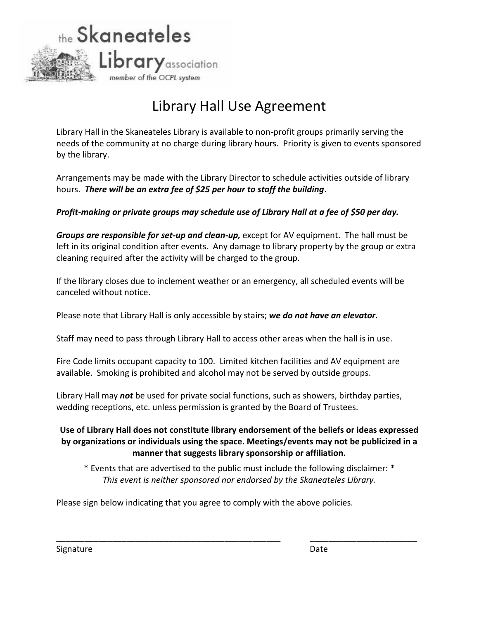

## Library Hall Use Agreement

Library Hall in the Skaneateles Library is available to non-profit groups primarily serving the needs of the community at no charge during library hours. Priority is given to events sponsored by the library.

Arrangements may be made with the Library Director to schedule activities outside of library hours. *There will be an extra fee of \$25 per hour to staff the building*.

## *Profit-making or private groups may schedule use of Library Hall at a fee of \$50 per day.*

*Groups are responsible for set-up and clean-up,* except for AV equipment. The hall must be left in its original condition after events. Any damage to library property by the group or extra cleaning required after the activity will be charged to the group.

If the library closes due to inclement weather or an emergency, all scheduled events will be canceled without notice.

Please note that Library Hall is only accessible by stairs; *we do not have an elevator.*

Staff may need to pass through Library Hall to access other areas when the hall is in use.

Fire Code limits occupant capacity to 100. Limited kitchen facilities and AV equipment are available. Smoking is prohibited and alcohol may not be served by outside groups.

Library Hall may *not* be used for private social functions, such as showers, birthday parties, wedding receptions, etc. unless permission is granted by the Board of Trustees.

## **Use of Library Hall does not constitute library endorsement of the beliefs or ideas expressed by organizations or individuals using the space. Meetings/events may not be publicized in a manner that suggests library sponsorship or affiliation.**

\* Events that are advertised to the public must include the following disclaimer: \* *This event is neither sponsored nor endorsed by the Skaneateles Library.*

\_\_\_\_\_\_\_\_\_\_\_\_\_\_\_\_\_\_\_\_\_\_\_\_\_\_\_\_\_\_\_\_\_\_\_\_\_\_\_\_\_\_\_\_\_\_\_\_ \_\_\_\_\_\_\_\_\_\_\_\_\_\_\_\_\_\_\_\_\_\_\_

Please sign below indicating that you agree to comply with the above policies.

Signature Date Date Date Date Date Date Date